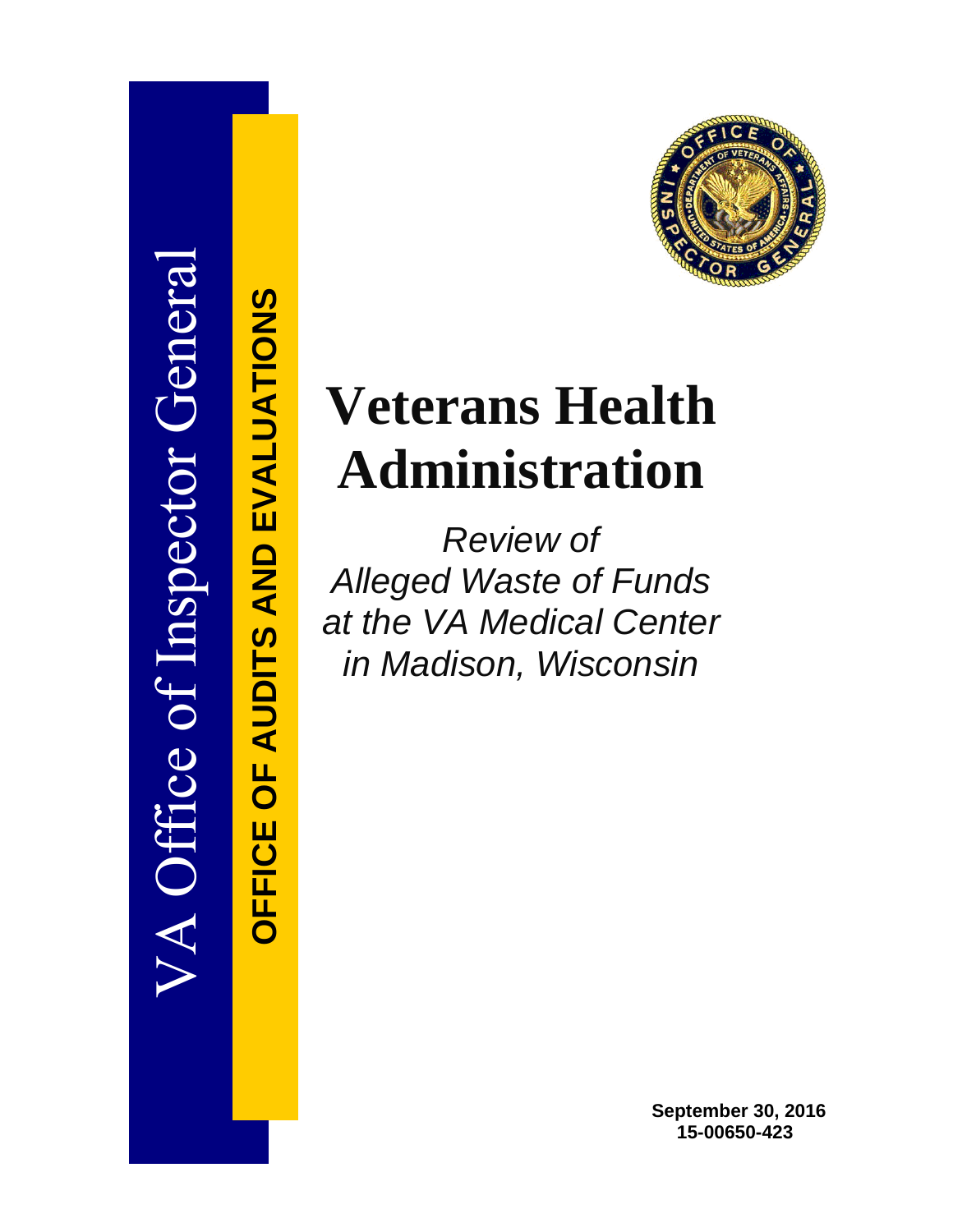

**OFFICE OF AUDITS AND EVALUATIONS**

**OFFICE OF AUDITS AND EVALUATIONS** 



# **Veterans Health Administration**

*Review of Alleged Waste of Funds at the VA Medical Center in Madison, Wisconsin*

> **September 30, 2016 15-00650-423**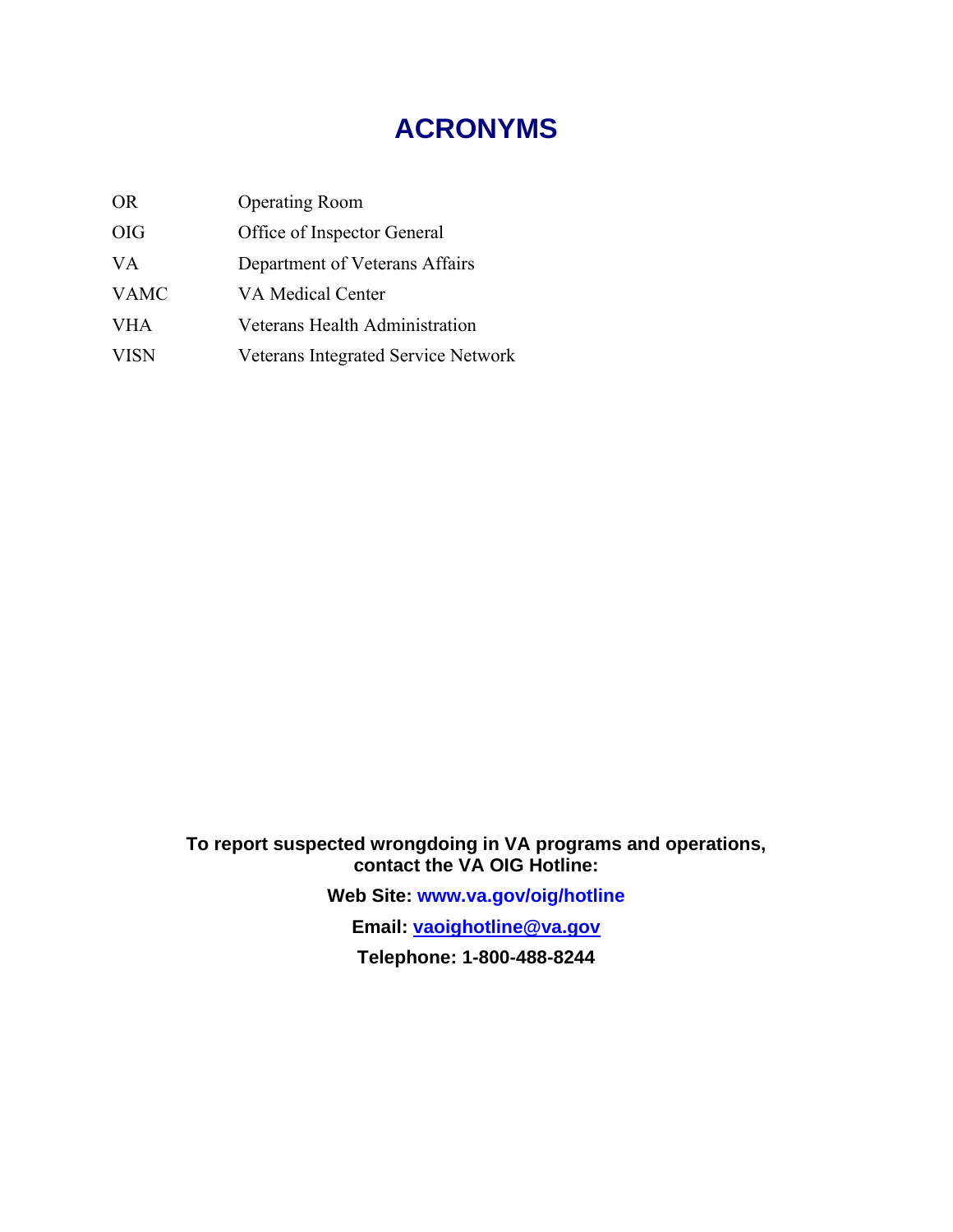# **ACRONYMS**

| <b>OR</b>   | <b>Operating Room</b>                 |
|-------------|---------------------------------------|
| <b>OIG</b>  | Office of Inspector General           |
| VA.         | Department of Veterans Affairs        |
| <b>VAMC</b> | <b>VA Medical Center</b>              |
| <b>VHA</b>  | <b>Veterans Health Administration</b> |
| <b>VISN</b> | Veterans Integrated Service Network   |

**To report suspected wrongdoing in VA programs and operations, contact the VA OIG Hotline:**

**Web Site: [www.va.gov/oig/hotline](http://www.va.gov/oig/hotline)**

**Email: [vaoighotline@va.gov](mailto:vaoighotline@va.gov)**

**Telephone: 1-800-488-8244**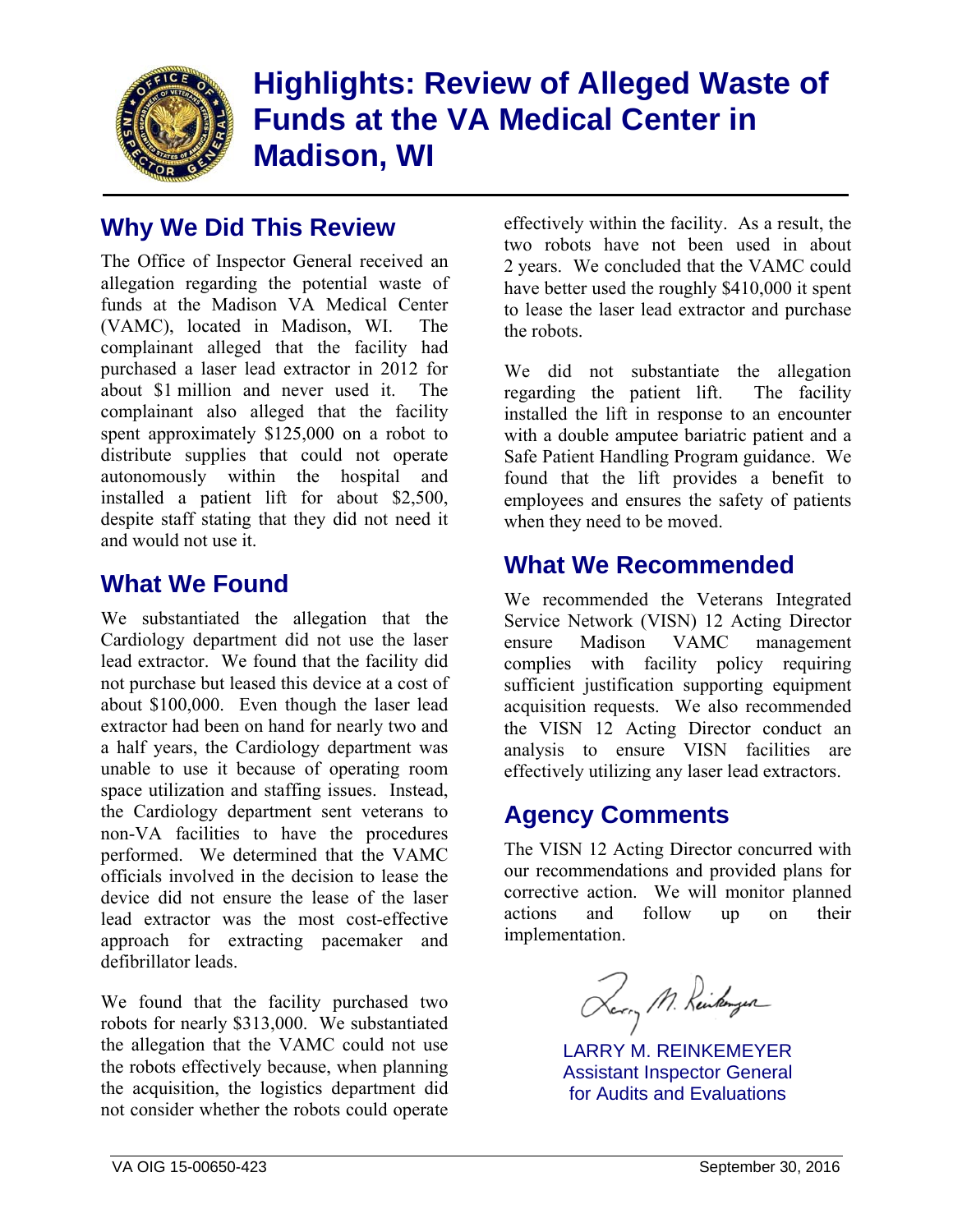

# **Highlights: Review of Alleged Waste of Funds at the VA Medical Center in Madison, WI**

# **Why We Did This Review**

The Office of Inspector General received an allegation regarding the potential waste of funds at the Madison VA Medical Center (VAMC), located in Madison, WI. The complainant alleged that the facility had purchased a laser lead extractor in 2012 for about \$1 million and never used it. The complainant also alleged that the facility spent approximately \$125,000 on a robot to distribute supplies that could not operate autonomously within the hospital and installed a patient lift for about \$2,500, despite staff stating that they did not need it and would not use it.

## **What We Found**

We substantiated the allegation that the Cardiology department did not use the laser lead extractor. We found that the facility did not purchase but leased this device at a cost of about \$100,000. Even though the laser lead extractor had been on hand for nearly two and a half years, the Cardiology department was unable to use it because of operating room space utilization and staffing issues. Instead, the Cardiology department sent veterans to non-VA facilities to have the procedures performed. We determined that the VAMC officials involved in the decision to lease the device did not ensure the lease of the laser lead extractor was the most cost-effective approach for extracting pacemaker and defibrillator leads.

We found that the facility purchased two robots for nearly \$313,000. We substantiated the allegation that the VAMC could not use the robots effectively because, when planning the acquisition, the logistics department did not consider whether the robots could operate

effectively within the facility. As a result, the two robots have not been used in about 2 years. We concluded that the VAMC could have better used the roughly \$410,000 it spent to lease the laser lead extractor and purchase the robots.

We did not substantiate the allegation regarding the patient lift. The facility installed the lift in response to an encounter with a double amputee bariatric patient and a Safe Patient Handling Program guidance. We found that the lift provides a benefit to employees and ensures the safety of patients when they need to be moved.

# **What We Recommended**

We recommended the Veterans Integrated Service Network (VISN) 12 Acting Director ensure Madison VAMC management complies with facility policy requiring sufficient justification supporting equipment acquisition requests. We also recommended the VISN 12 Acting Director conduct an analysis to ensure VISN facilities are effectively utilizing any laser lead extractors.

# **Agency Comments**

The VISN 12 Acting Director concurred with our recommendations and provided plans for corrective action. We will monitor planned actions and follow up on their implementation.

Rorry M. Runkingsa

LARRY M. REINKEMEYER Assistant Inspector General for Audits and Evaluations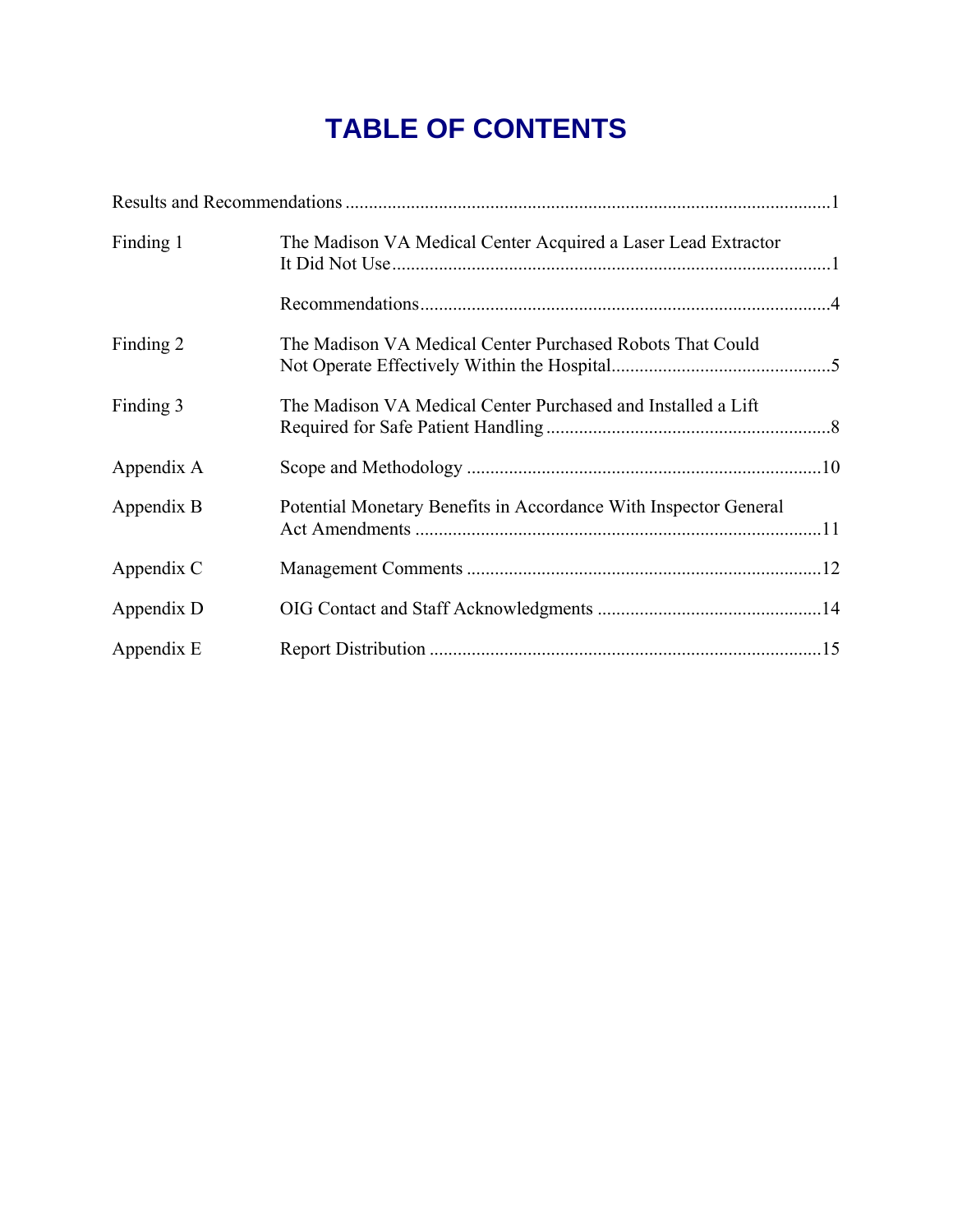# **TABLE OF CONTENTS**

| Finding 1  | The Madison VA Medical Center Acquired a Laser Lead Extractor    |  |
|------------|------------------------------------------------------------------|--|
|            |                                                                  |  |
| Finding 2  | The Madison VA Medical Center Purchased Robots That Could        |  |
| Finding 3  | The Madison VA Medical Center Purchased and Installed a Lift     |  |
| Appendix A |                                                                  |  |
| Appendix B | Potential Monetary Benefits in Accordance With Inspector General |  |
| Appendix C |                                                                  |  |
| Appendix D |                                                                  |  |
| Appendix E |                                                                  |  |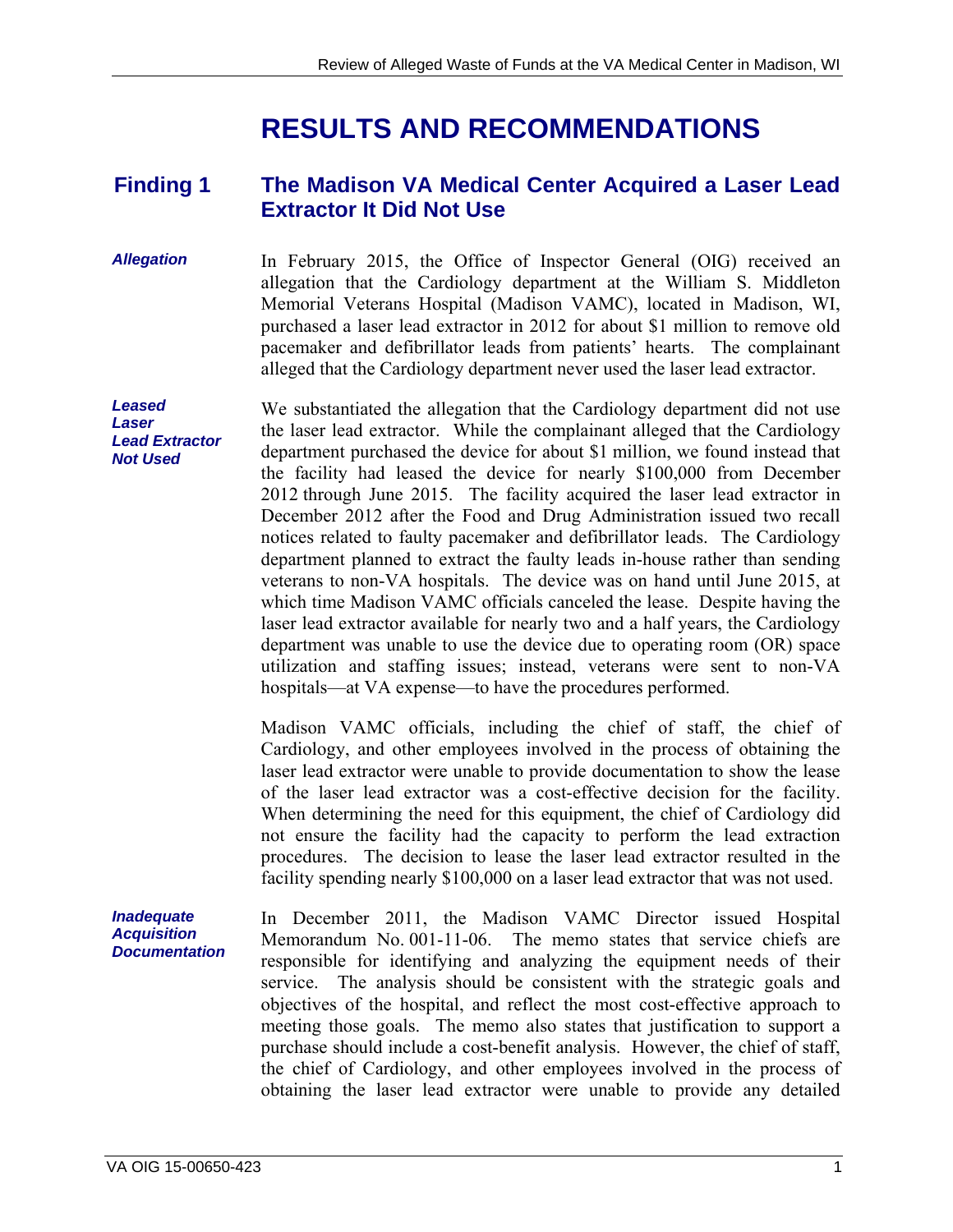# **RESULTS AND RECOMMENDATIONS**

#### <span id="page-4-0"></span>**Finding 1 The Madison VA Medical Center Acquired a Laser Lead Extractor It Did Not Use**

- *Allegation*  In February 2015, the Office of Inspector General (OIG) received an allegation that the Cardiology department at the William S. Middleton Memorial Veterans Hospital (Madison VAMC), located in Madison, WI, purchased a laser lead extractor in 2012 for about \$1 million to remove old pacemaker and defibrillator leads from patients' hearts. The complainant alleged that the Cardiology department never used the laser lead extractor.
- *Leased Laser Lead Extractor Not Used*  We substantiated the allegation that the Cardiology department did not use the laser lead extractor. While the complainant alleged that the Cardiology department purchased the device for about \$1 million, we found instead that the facility had leased the device for nearly \$100,000 from December 2012 through June 2015. The facility acquired the laser lead extractor in December 2012 after the Food and Drug Administration issued two recall notices related to faulty pacemaker and defibrillator leads. The Cardiology department planned to extract the faulty leads in-house rather than sending veterans to non-VA hospitals. The device was on hand until June 2015, at which time Madison VAMC officials canceled the lease. Despite having the laser lead extractor available for nearly two and a half years, the Cardiology department was unable to use the device due to operating room (OR) space utilization and staffing issues; instead, veterans were sent to non-VA hospitals—at VA expense—to have the procedures performed.

of the laser lead extractor was a cost-effective decision for the facility. Madison VAMC officials, including the chief of staff, the chief of Cardiology, and other employees involved in the process of obtaining the laser lead extractor were unable to provide documentation to show the lease When determining the need for this equipment, the chief of Cardiology did not ensure the facility had the capacity to perform the lead extraction procedures. The decision to lease the laser lead extractor resulted in the facility spending nearly \$100,000 on a laser lead extractor that was not used.

*Inadequate*  In December 2011, the Madison VAMC Director issued Hospital Memorandum No. 001-11-06. The memo states that service chiefs are responsible for identifying and analyzing the equipment needs of their service. The analysis should be consistent with the strategic goals and objectives of the hospital, and reflect the most cost-effective approach to meeting those goals. The memo also states that justification to support a purchase should include a cost-benefit analysis. However, the chief of staff, the chief of Cardiology, and other employees involved in the process of obtaining the laser lead extractor were unable to provide any detailed

*Acquisition Documentation*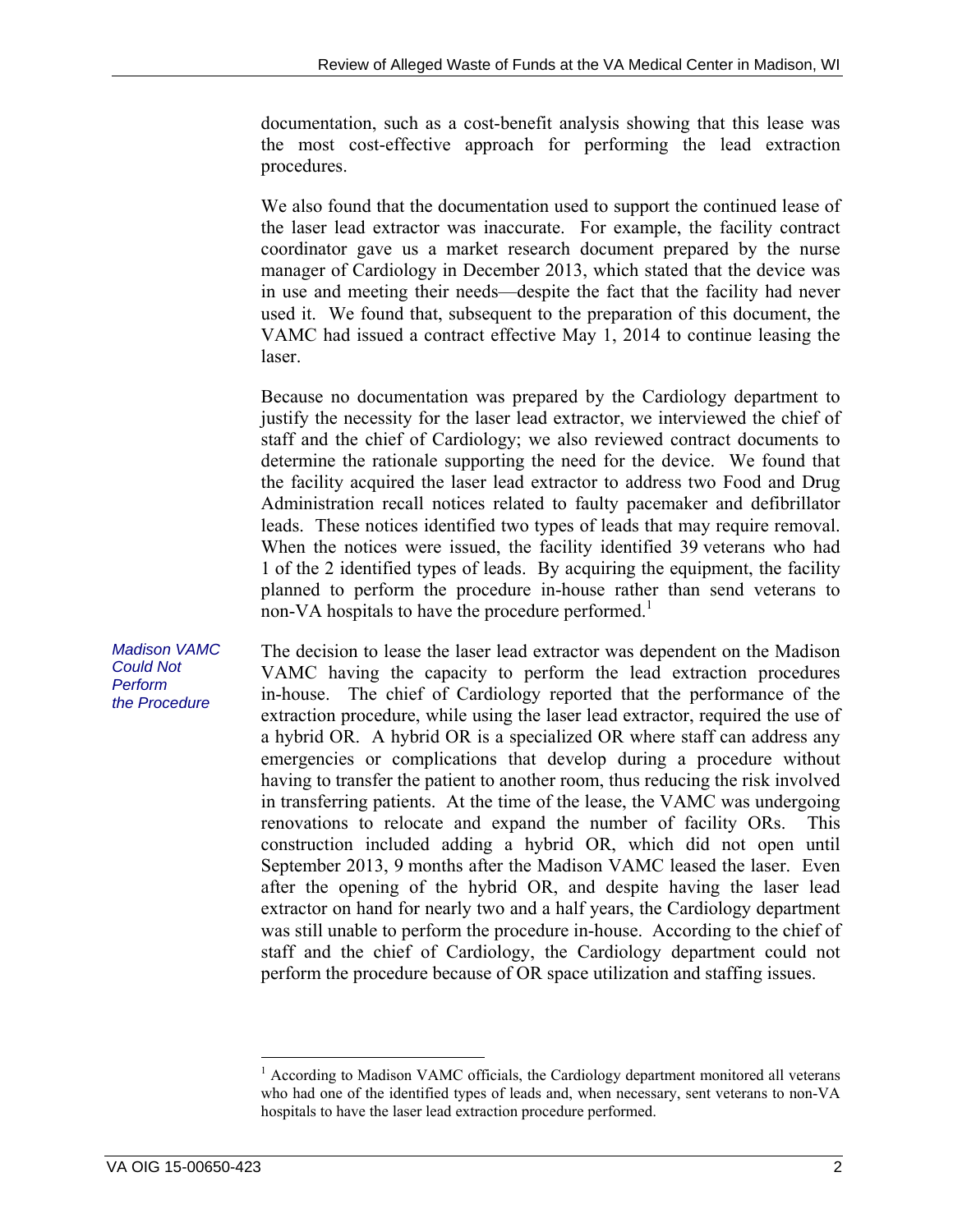documentation, such as a cost-benefit analysis showing that this lease was the most cost-effective approach for performing the lead extraction procedures.

We also found that the documentation used to support the continued lease of the laser lead extractor was inaccurate. For example, the facility contract coordinator gave us a market research document prepared by the nurse manager of Cardiology in December 2013, which stated that the device was in use and meeting their needs—despite the fact that the facility had never used it. We found that, subsequent to the preparation of this document, the VAMC had issued a contract effective May 1, 2014 to continue leasing the laser.

Because no documentation was prepared by the Cardiology department to justify the necessity for the laser lead extractor, we interviewed the chief of staff and the chief of Cardiology; we also reviewed contract documents to determine the rationale supporting the need for the device. We found that the facility acquired the laser lead extractor to address two Food and Drug Administration recall notices related to faulty pacemaker and defibrillator leads. These notices identified two types of leads that may require removal. When the notices were issued, the facility identified 39 veterans who had 1 of the 2 identified types of leads. By acquiring the equipment, the facility planned to perform the procedure in-house rather than send veterans to non-VA hospitals to have the procedure performed.<sup>1</sup>

*Madison VAMC Could Not Perform the Procedure*  The decision to lease the laser lead extractor was dependent on the Madison VAMC having the capacity to perform the lead extraction procedures in-house. The chief of Cardiology reported that the performance of the extraction procedure, while using the laser lead extractor, required the use of a hybrid OR. A hybrid OR is a specialized OR where staff can address any emergencies or complications that develop during a procedure without having to transfer the patient to another room, thus reducing the risk involved in transferring patients. At the time of the lease, the VAMC was undergoing renovations to relocate and expand the number of facility ORs. This construction included adding a hybrid OR, which did not open until September 2013, 9 months after the Madison VAMC leased the laser. Even after the opening of the hybrid OR, and despite having the laser lead extractor on hand for nearly two and a half years, the Cardiology department was still unable to perform the procedure in-house. According to the chief of staff and the chief of Cardiology, the Cardiology department could not perform the procedure because of OR space utilization and staffing issues.

 $\overline{a}$ 

 who had one of the identified types of leads and, when necessary, sent veterans to non-VA <sup>1</sup> According to Madison VAMC officials, the Cardiology department monitored all veterans hospitals to have the laser lead extraction procedure performed.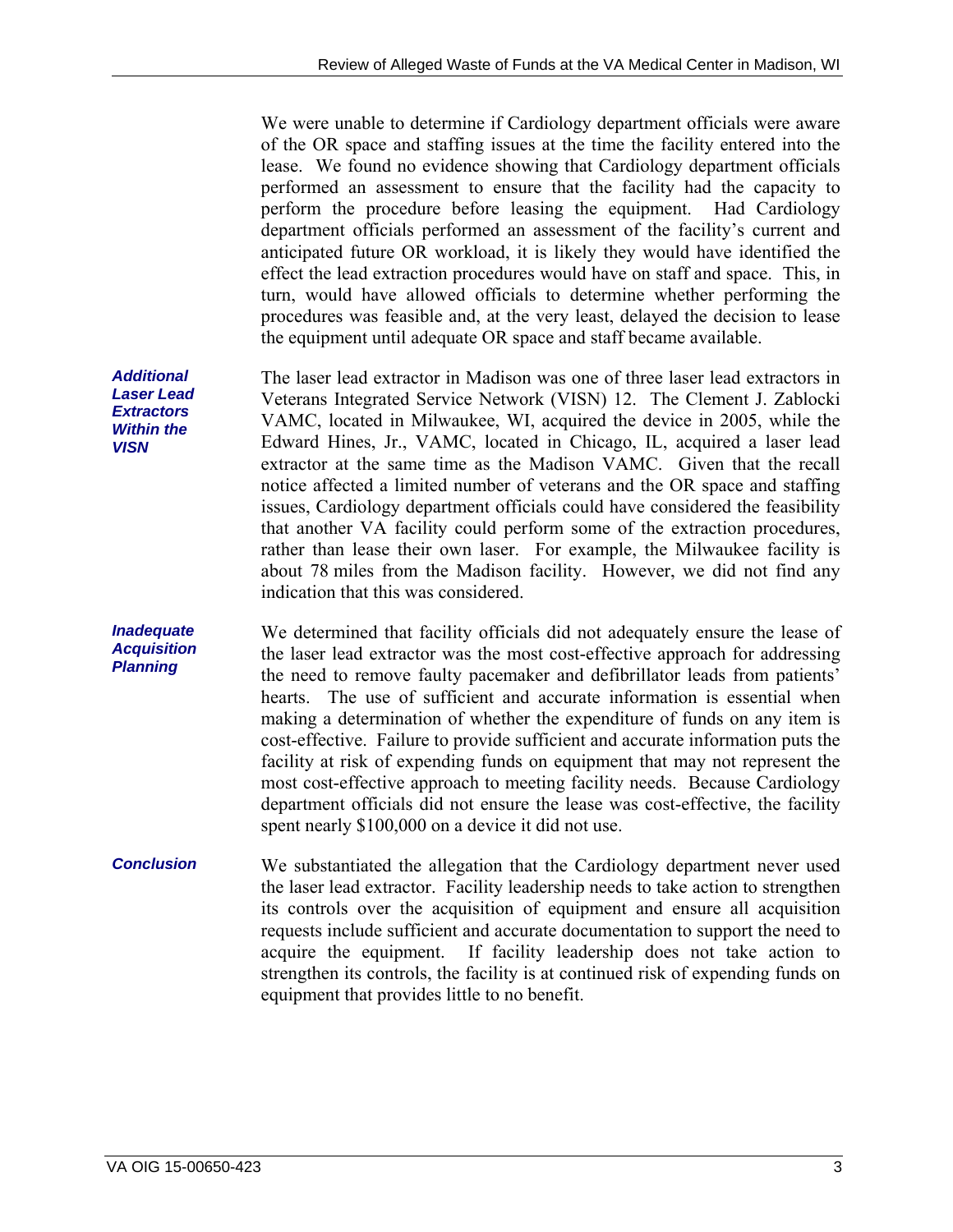We were unable to determine if Cardiology department officials were aware of the OR space and staffing issues at the time the facility entered into the lease. We found no evidence showing that Cardiology department officials performed an assessment to ensure that the facility had the capacity to perform the procedure before leasing the equipment. Had Cardiology department officials performed an assessment of the facility's current and anticipated future OR workload, it is likely they would have identified the effect the lead extraction procedures would have on staff and space. This, in turn, would have allowed officials to determine whether performing the procedures was feasible and, at the very least, delayed the decision to lease the equipment until adequate OR space and staff became available.

The laser lead extractor in Madison was one of three laser lead extractors in Veterans Integrated Service Network (VISN) 12. The Clement J. Zablocki VAMC, located in Milwaukee, WI, acquired the device in 2005, while the Edward Hines, Jr., VAMC, located in Chicago, IL, acquired a laser lead extractor at the same time as the Madison VAMC. Given that the recall notice affected a limited number of veterans and the OR space and staffing issues, Cardiology department officials could have considered the feasibility that another VA facility could perform some of the extraction procedures, rather than lease their own laser. For example, the Milwaukee facility is about 78 miles from the Madison facility. However, we did not find any indication that this was considered.

*Inadequate*  We determined that facility officials did not adequately ensure the lease of the laser lead extractor was the most cost-effective approach for addressing the need to remove faulty pacemaker and defibrillator leads from patients' hearts. The use of sufficient and accurate information is essential when making a determination of whether the expenditure of funds on any item is cost-effective. Failure to provide sufficient and accurate information puts the facility at risk of expending funds on equipment that may not represent the most cost-effective approach to meeting facility needs. Because Cardiology department officials did not ensure the lease was cost-effective, the facility spent nearly \$100,000 on a device it did not use.

*Conclusion*  We substantiated the allegation that the Cardiology department never used the laser lead extractor. Facility leadership needs to take action to strengthen its controls over the acquisition of equipment and ensure all acquisition requests include sufficient and accurate documentation to support the need to acquire the equipment. If facility leadership does not take action to strengthen its controls, the facility is at continued risk of expending funds on equipment that provides little to no benefit.

*Additional Laser Lead Extractors Within the VISN* 

*Acquisition Planning*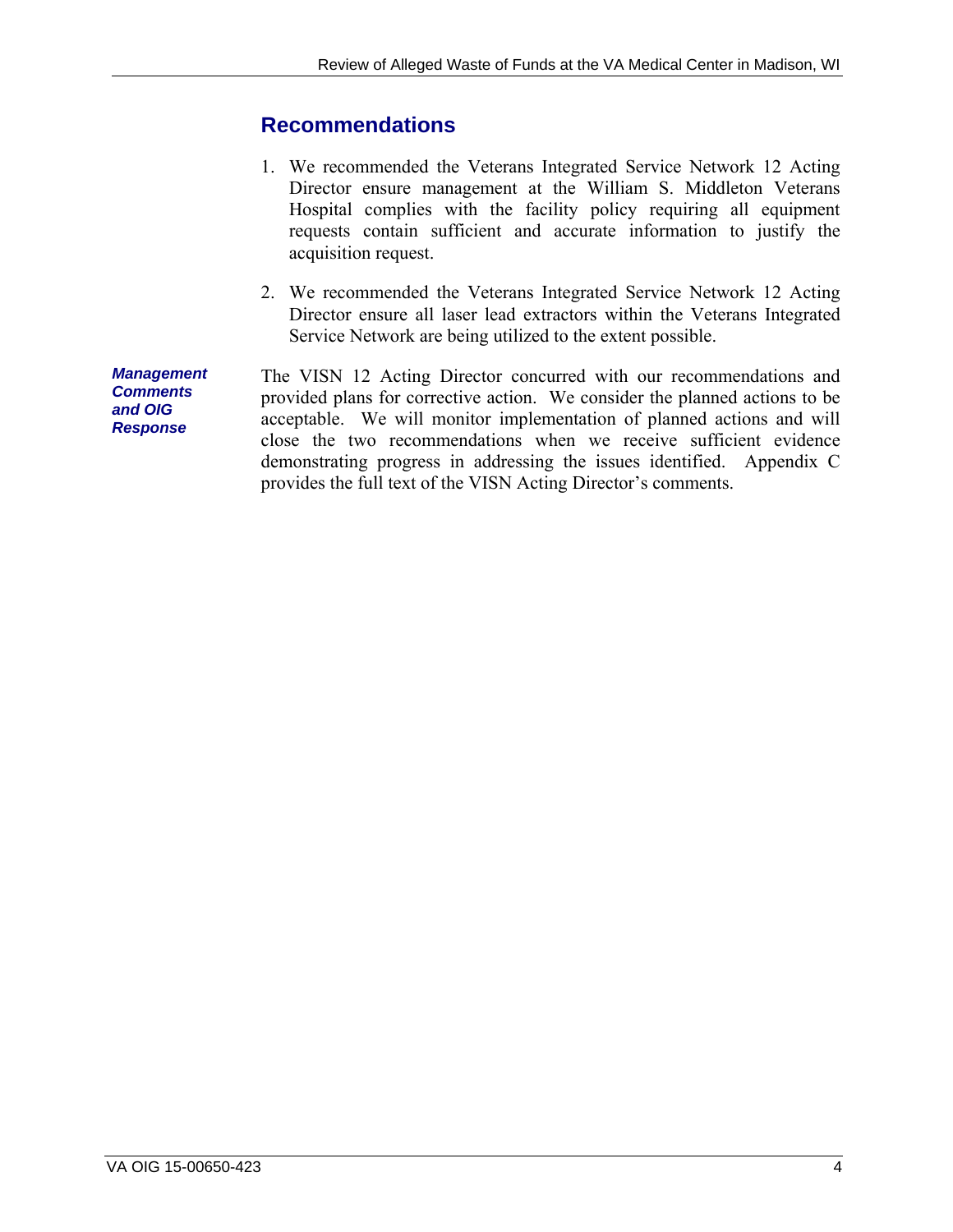### <span id="page-7-0"></span>**Recommendations**

- 1. We recommended the Veterans Integrated Service Network 12 Acting Director ensure management at the William S. Middleton Veterans Hospital complies with the facility policy requiring all equipment requests contain sufficient and accurate information to justify the acquisition request.
- 2. We recommended the Veterans Integrated Service Network 12 Acting Director ensure all laser lead extractors within the Veterans Integrated Service Network are being utilized to the extent possible.

*Management Comments and OIG Response*  The VISN 12 Acting Director concurred with our recommendations and provided plans for corrective action. We consider the planned actions to be acceptable. We will monitor implementation of planned actions and will close the two recommendations when we receive sufficient evidence demonstrating progress in addressing the issues identified. Appendix C provides the full text of the VISN Acting Director's comments.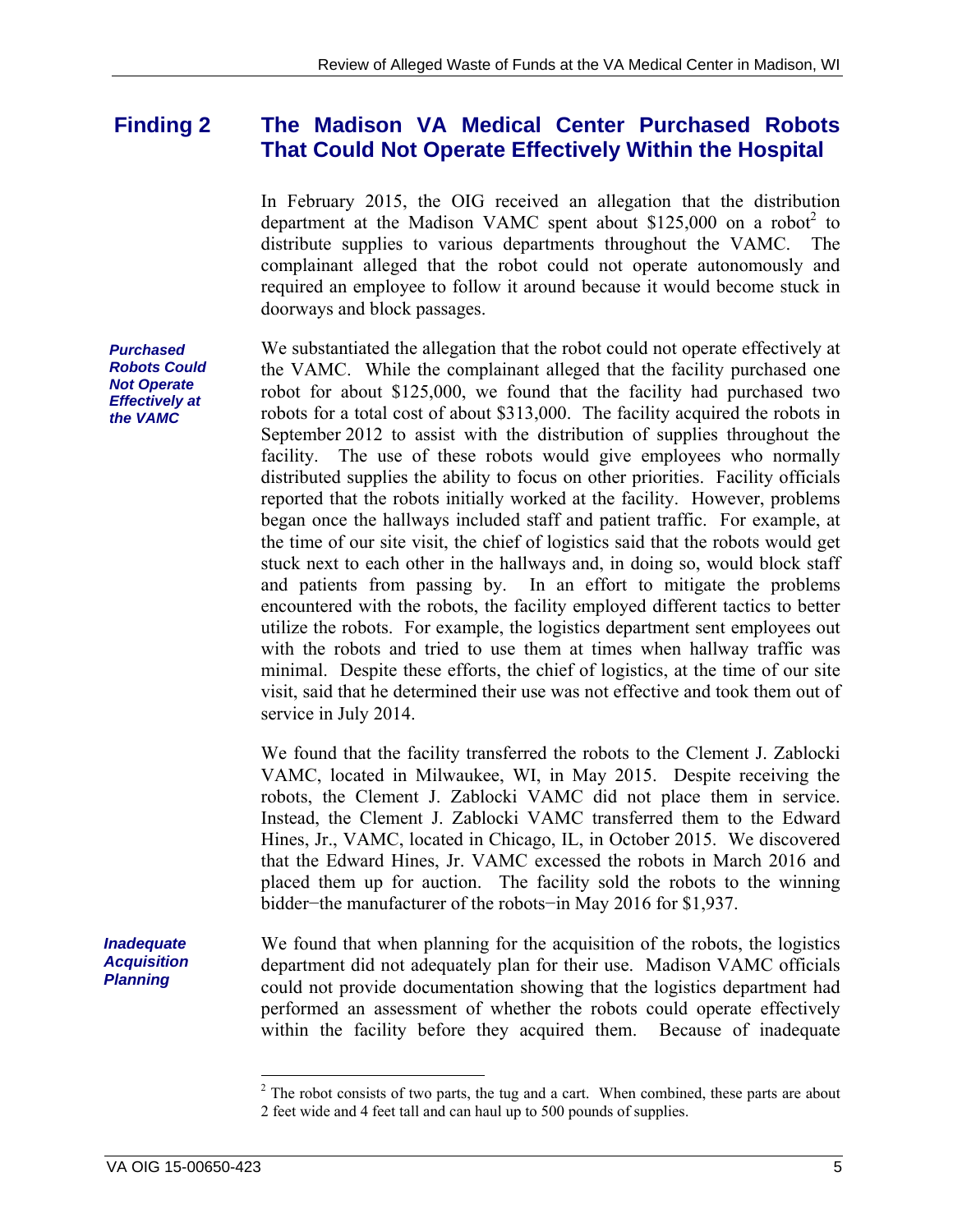#### <span id="page-8-0"></span>**Finding 2 The Madison VA Medical Center Purchased Robots That Could Not Operate Effectively Within the Hospital**

In February 2015, the OIG received an allegation that the distribution department at the Madison VAMC spent about  $$125,000$  on a robot<sup>2</sup> to distribute supplies to various departments throughout the VAMC. The complainant alleged that the robot could not operate autonomously and required an employee to follow it around because it would become stuck in doorways and block passages.

We substantiated the allegation that the robot could not operate effectively at the VAMC. While the complainant alleged that the facility purchased one robot for about \$125,000, we found that the facility had purchased two robots for a total cost of about \$313,000. The facility acquired the robots in September 2012 to assist with the distribution of supplies throughout the facility. The use of these robots would give employees who normally distributed supplies the ability to focus on other priorities. Facility officials reported that the robots initially worked at the facility. However, problems began once the hallways included staff and patient traffic. For example, at the time of our site visit, the chief of logistics said that the robots would get stuck next to each other in the hallways and, in doing so, would block staff and patients from passing by. In an effort to mitigate the problems encountered with the robots, the facility employed different tactics to better utilize the robots. For example, the logistics department sent employees out with the robots and tried to use them at times when hallway traffic was minimal. Despite these efforts, the chief of logistics, at the time of our site visit, said that he determined their use was not effective and took them out of service in July 2014.

We found that the facility transferred the robots to the Clement J. Zablocki VAMC, located in Milwaukee, WI, in May 2015. Despite receiving the robots, the Clement J. Zablocki VAMC did not place them in service. Instead, the Clement J. Zablocki VAMC transferred them to the Edward Hines, Jr., VAMC, located in Chicago, IL, in October 2015. We discovered that the Edward Hines, Jr. VAMC excessed the robots in March 2016 and placed them up for auction. The facility sold the robots to the winning bidder−the manufacturer of the robots−in May 2016 for \$1,937.

We found that when planning for the acquisition of the robots, the logistics department did not adequately plan for their use. Madison VAMC officials could not provide documentation showing that the logistics department had performed an assessment of whether the robots could operate effectively within the facility before they acquired them. Because of inadequate

*Purchased Robots Could Not Operate Effectively at the VAMC* 

*Inadequate Acquisition Planning* 

 $\overline{a}$ 

 2 feet wide and 4 feet tall and can haul up to 500 pounds of supplies.  $2^2$  The robot consists of two parts, the tug and a cart. When combined, these parts are about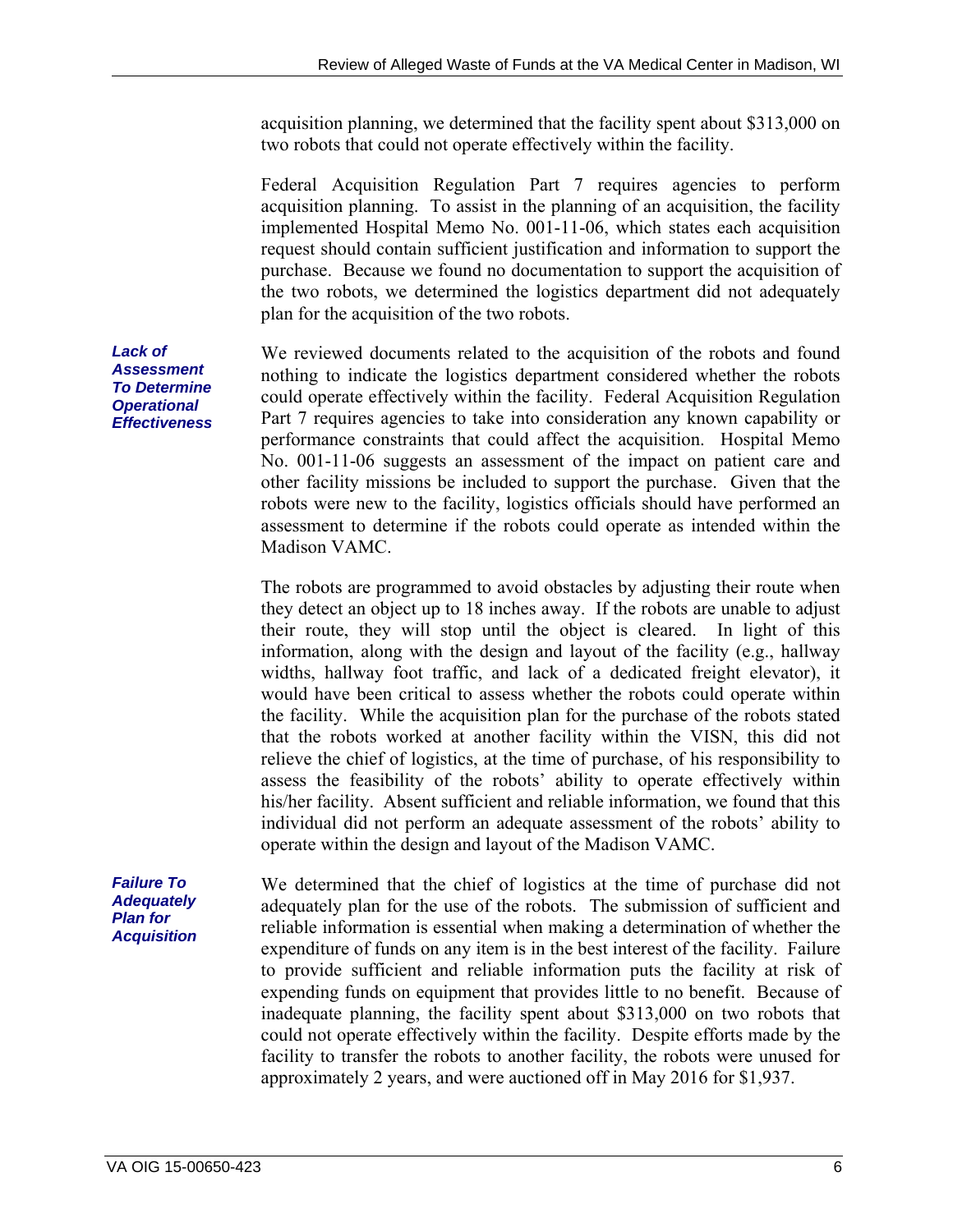acquisition planning, we determined that the facility spent about \$313,000 on two robots that could not operate effectively within the facility.

Federal Acquisition Regulation Part 7 requires agencies to perform acquisition planning. To assist in the planning of an acquisition, the facility implemented Hospital Memo No. 001-11-06, which states each acquisition request should contain sufficient justification and information to support the purchase. Because we found no documentation to support the acquisition of the two robots, we determined the logistics department did not adequately plan for the acquisition of the two robots.

We reviewed documents related to the acquisition of the robots and found nothing to indicate the logistics department considered whether the robots could operate effectively within the facility. Federal Acquisition Regulation Part 7 requires agencies to take into consideration any known capability or performance constraints that could affect the acquisition. Hospital Memo No. 001-11-06 suggests an assessment of the impact on patient care and other facility missions be included to support the purchase. Given that the robots were new to the facility, logistics officials should have performed an assessment to determine if the robots could operate as intended within the Madison VAMC.

The robots are programmed to avoid obstacles by adjusting their route when they detect an object up to 18 inches away. If the robots are unable to adjust their route, they will stop until the object is cleared. In light of this information, along with the design and layout of the facility (e.g., hallway widths, hallway foot traffic, and lack of a dedicated freight elevator), it would have been critical to assess whether the robots could operate within the facility. While the acquisition plan for the purchase of the robots stated that the robots worked at another facility within the VISN, this did not relieve the chief of logistics, at the time of purchase, of his responsibility to assess the feasibility of the robots' ability to operate effectively within his/her facility. Absent sufficient and reliable information, we found that this individual did not perform an adequate assessment of the robots' ability to operate within the design and layout of the Madison VAMC.

We determined that the chief of logistics at the time of purchase did not adequately plan for the use of the robots. The submission of sufficient and reliable information is essential when making a determination of whether the expenditure of funds on any item is in the best interest of the facility. Failure to provide sufficient and reliable information puts the facility at risk of expending funds on equipment that provides little to no benefit. Because of inadequate planning, the facility spent about \$313,000 on two robots that could not operate effectively within the facility. Despite efforts made by the facility to transfer the robots to another facility, the robots were unused for approximately 2 years, and were auctioned off in May 2016 for \$1,937.

*Lack of Assessment To Determine Operational Effectiveness* 

*Failure To Adequately Plan for Acquisition*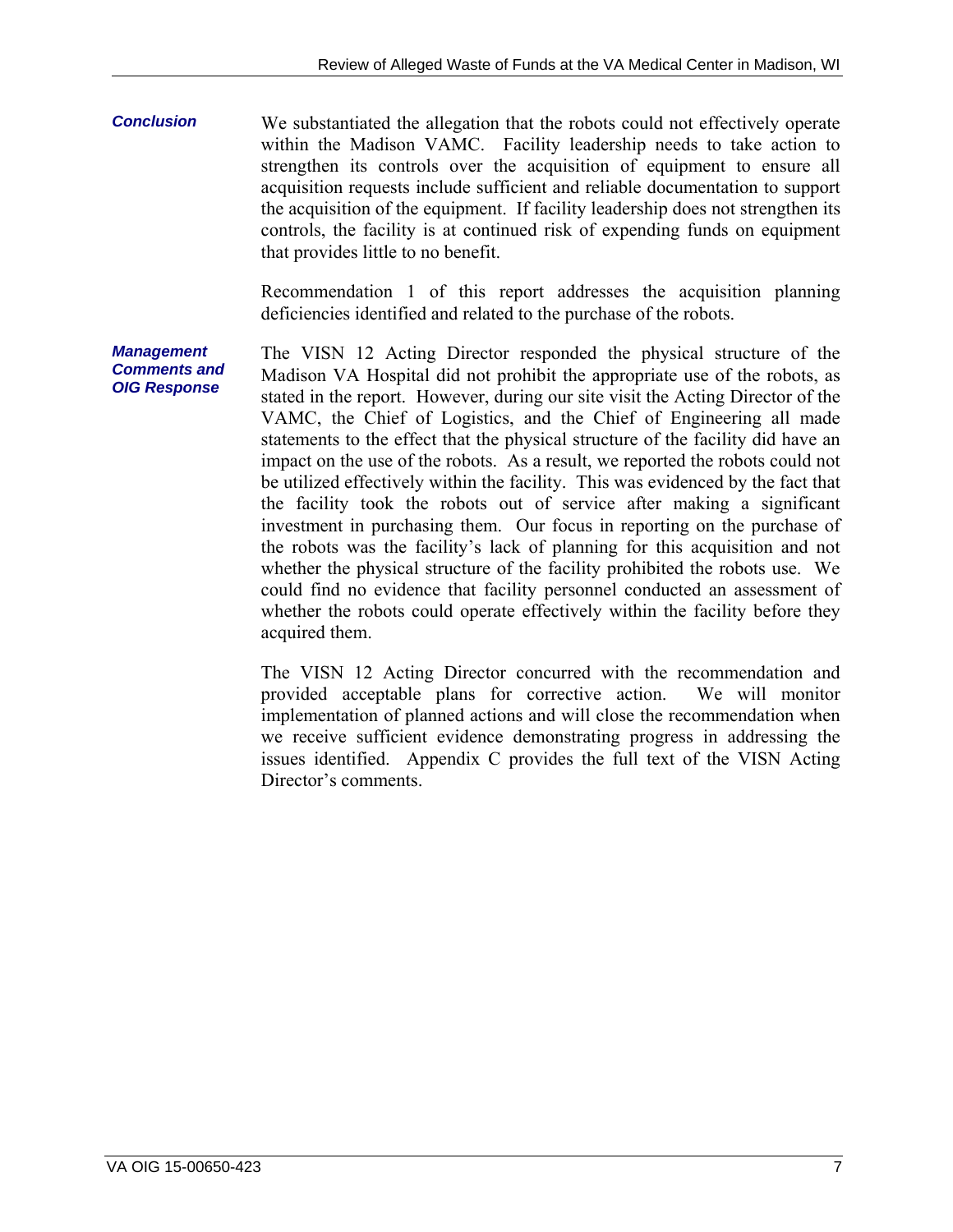*Conclusion*  We substantiated the allegation that the robots could not effectively operate within the Madison VAMC. Facility leadership needs to take action to strengthen its controls over the acquisition of equipment to ensure all acquisition requests include sufficient and reliable documentation to support the acquisition of the equipment. If facility leadership does not strengthen its controls, the facility is at continued risk of expending funds on equipment that provides little to no benefit.

> Recommendation 1 of this report addresses the acquisition planning deficiencies identified and related to the purchase of the robots.

*Management Comments and OIG Response*  The VISN 12 Acting Director responded the physical structure of the Madison VA Hospital did not prohibit the appropriate use of the robots, as stated in the report. However, during our site visit the Acting Director of the VAMC, the Chief of Logistics, and the Chief of Engineering all made statements to the effect that the physical structure of the facility did have an impact on the use of the robots. As a result, we reported the robots could not be utilized effectively within the facility. This was evidenced by the fact that the facility took the robots out of service after making a significant investment in purchasing them. Our focus in reporting on the purchase of the robots was the facility's lack of planning for this acquisition and not whether the physical structure of the facility prohibited the robots use. We could find no evidence that facility personnel conducted an assessment of whether the robots could operate effectively within the facility before they acquired them.

> The VISN 12 Acting Director concurred with the recommendation and provided acceptable plans for corrective action. We will monitor implementation of planned actions and will close the recommendation when we receive sufficient evidence demonstrating progress in addressing the issues identified. Appendix C provides the full text of the VISN Acting Director's comments.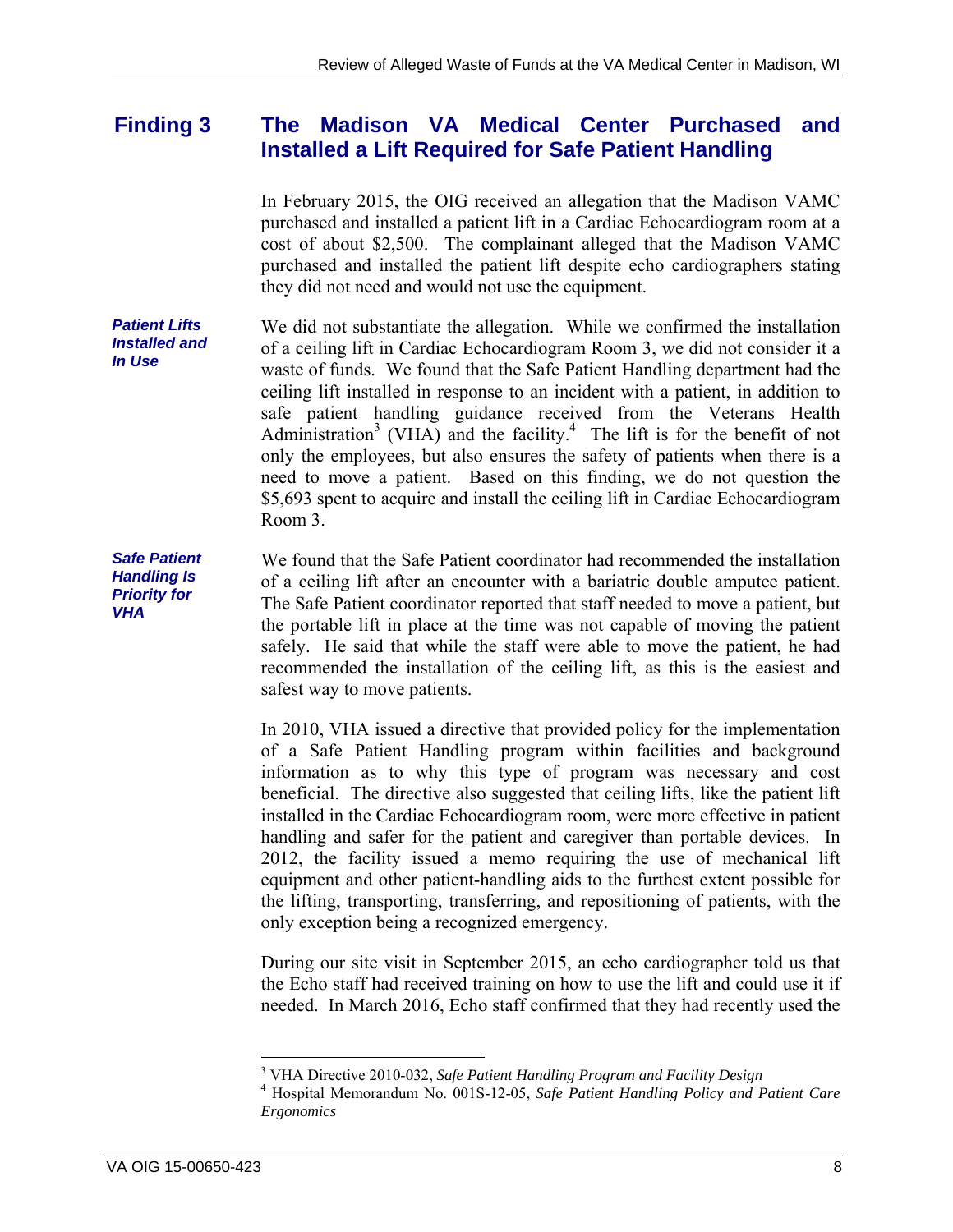#### <span id="page-11-0"></span>**Finding 3 The Madison VA Medical Center Purchased and Installed a Lift Required for Safe Patient Handling**

In February 2015, the OIG received an allegation that the Madison VAMC purchased and installed a patient lift in a Cardiac Echocardiogram room at a cost of about \$2,500. The complainant alleged that the Madison VAMC purchased and installed the patient lift despite echo cardiographers stating they did not need and would not use the equipment.

*Patient Lifts Installed and In Use*  We did not substantiate the allegation. While we confirmed the installation of a ceiling lift in Cardiac Echocardiogram Room 3, we did not consider it a waste of funds. We found that the Safe Patient Handling department had the ceiling lift installed in response to an incident with a patient, in addition to safe patient handling guidance received from the Veterans Health Administration<sup>3</sup> (VHA) and the facility.<sup>4</sup> The lift is for the benefit of not only the employees, but also ensures the safety of patients when there is a need to move a patient. Based on this finding, we do not question the \$5,693 spent to acquire and install the ceiling lift in Cardiac Echocardiogram Room 3.

of a ceiling lift after an encounter with a bariatric double amputee patient. *Safe Patient Handling Is Priority for VHA*  We found that the Safe Patient coordinator had recommended the installation The Safe Patient coordinator reported that staff needed to move a patient, but the portable lift in place at the time was not capable of moving the patient safely. He said that while the staff were able to move the patient, he had recommended the installation of the ceiling lift, as this is the easiest and safest way to move patients.

> In 2010, VHA issued a directive that provided policy for the implementation of a Safe Patient Handling program within facilities and background information as to why this type of program was necessary and cost beneficial. The directive also suggested that ceiling lifts, like the patient lift installed in the Cardiac Echocardiogram room, were more effective in patient handling and safer for the patient and caregiver than portable devices. In 2012, the facility issued a memo requiring the use of mechanical lift equipment and other patient-handling aids to the furthest extent possible for the lifting, transporting, transferring, and repositioning of patients, with the only exception being a recognized emergency.

> During our site visit in September 2015, an echo cardiographer told us that the Echo staff had received training on how to use the lift and could use it if needed. In March 2016, Echo staff confirmed that they had recently used the

 $\overline{a}$ 

<sup>&</sup>lt;sup>3</sup> VHA Directive 2010-032, *Safe Patient Handling Program and Facility Design*<br><sup>4</sup> Hespital Mamorandum No. 0015, 12.05, *Safe Patient Handling Poliny and E* 

Hospital Memorandum No. 001S-12-05, *Safe Patient Handling Policy and Patient Care Ergonomics*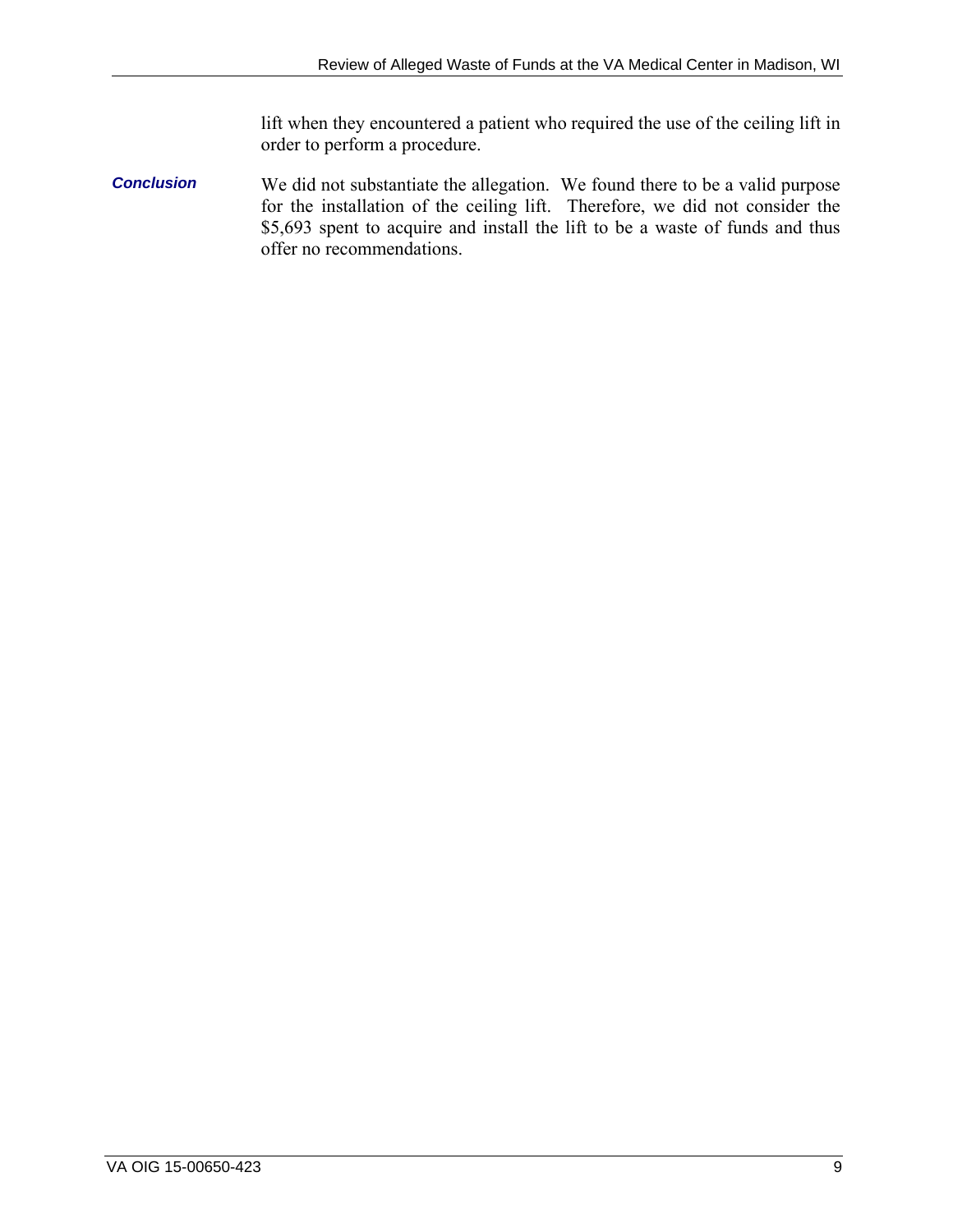lift when they encountered a patient who required the use of the ceiling lift in order to perform a procedure.

*Conclusion*  We did not substantiate the allegation. We found there to be a valid purpose for the installation of the ceiling lift. Therefore, we did not consider the \$5,693 spent to acquire and install the lift to be a waste of funds and thus offer no recommendations.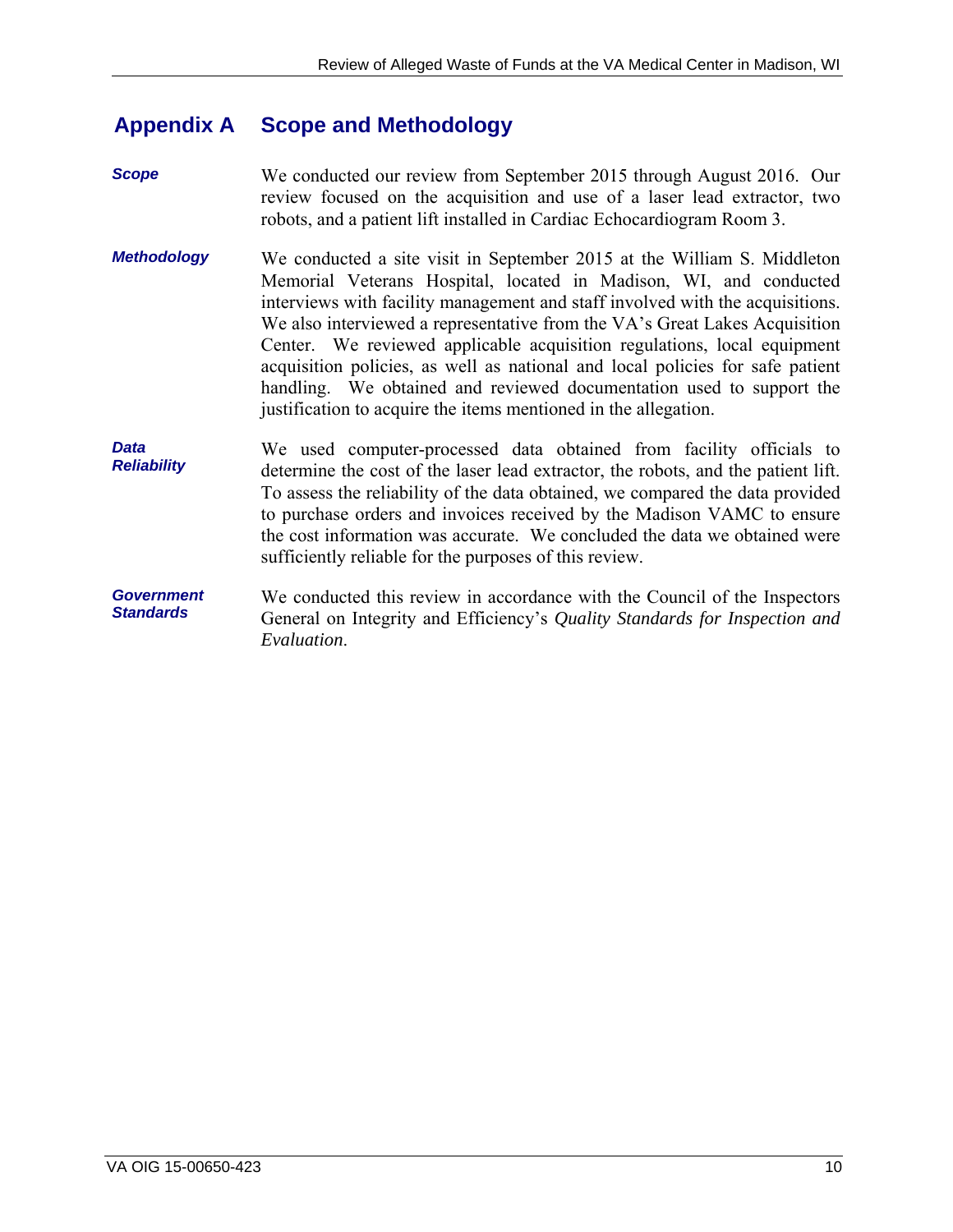#### <span id="page-13-0"></span>**Appendix A Scope and Methodology**

*Scope*  We conducted our review from September 2015 through August 2016. Our review focused on the acquisition and use of a laser lead extractor, two robots, and a patient lift installed in Cardiac Echocardiogram Room 3.

- *Methodology*  We conducted a site visit in September 2015 at the William S. Middleton Memorial Veterans Hospital, located in Madison, WI, and conducted interviews with facility management and staff involved with the acquisitions. We also interviewed a representative from the VA's Great Lakes Acquisition Center. We reviewed applicable acquisition regulations, local equipment acquisition policies, as well as national and local policies for safe patient handling. We obtained and reviewed documentation used to support the justification to acquire the items mentioned in the allegation.
- *Data Reliability*  We used computer-processed data obtained from facility officials to determine the cost of the laser lead extractor, the robots, and the patient lift. To assess the reliability of the data obtained, we compared the data provided to purchase orders and invoices received by the Madison VAMC to ensure the cost information was accurate. We concluded the data we obtained were sufficiently reliable for the purposes of this review.
- *Government Standards*  We conducted this review in accordance with the Council of the Inspectors General on Integrity and Efficiency's *Quality Standards for Inspection and Evaluation*.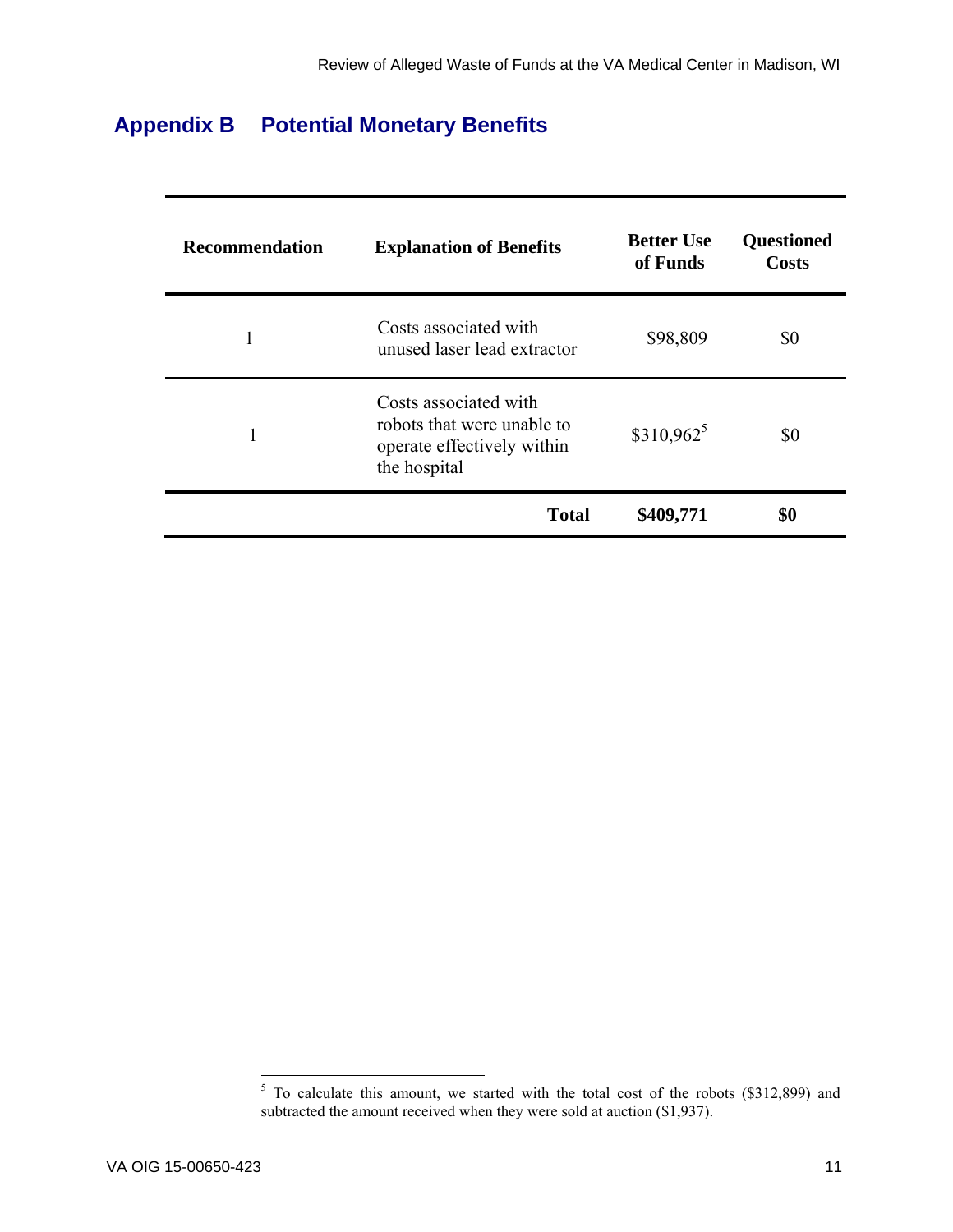# <span id="page-14-0"></span>**Appendix B Potential Monetary Benefits**

| <b>Recommendation</b> | <b>Explanation of Benefits</b>                                                                    | <b>Better Use</b><br>of Funds | <b>Questioned</b><br><b>Costs</b> |
|-----------------------|---------------------------------------------------------------------------------------------------|-------------------------------|-----------------------------------|
| 1                     | Costs associated with<br>unused laser lead extractor                                              | \$98,809                      | \$0                               |
| 1                     | Costs associated with<br>robots that were unable to<br>operate effectively within<br>the hospital | $$310,962^5$                  | \$0                               |
|                       | <b>Total</b>                                                                                      | \$409,771                     | \$0                               |

<sup>&</sup>lt;sup>5</sup> To calculate this amount, we started with the total cost of the robots (\$312,899) and subtracted the amount received when they were sold at auction (\$1,937).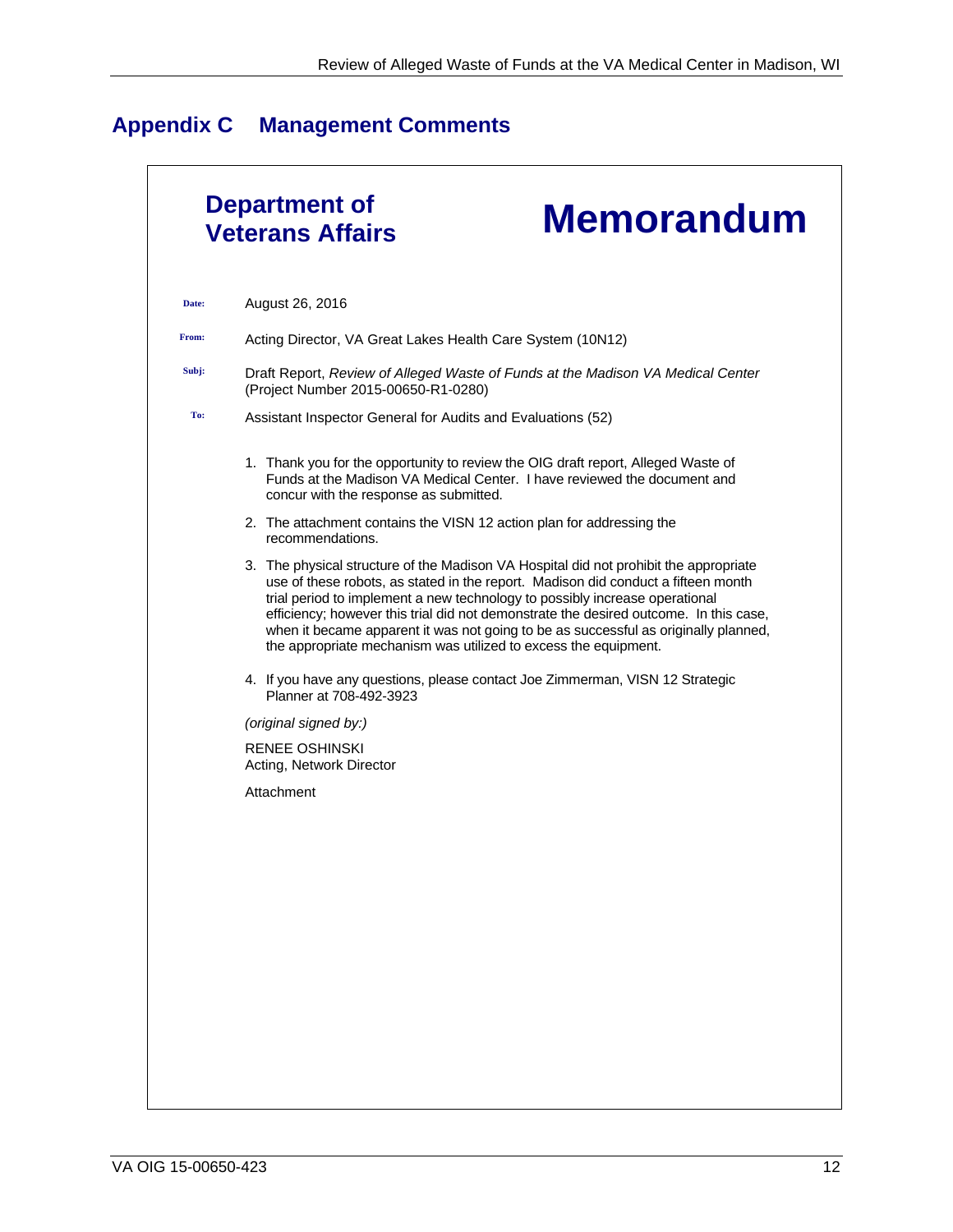# <span id="page-15-0"></span>**Appendix C Management Comments**

|       | <b>Department of</b><br><b>Memorandum</b><br><b>Veterans Affairs</b>                                                                                                                                                                                                                                                                                                                                                                                                                                         |
|-------|--------------------------------------------------------------------------------------------------------------------------------------------------------------------------------------------------------------------------------------------------------------------------------------------------------------------------------------------------------------------------------------------------------------------------------------------------------------------------------------------------------------|
| Date: | August 26, 2016                                                                                                                                                                                                                                                                                                                                                                                                                                                                                              |
| From: | Acting Director, VA Great Lakes Health Care System (10N12)                                                                                                                                                                                                                                                                                                                                                                                                                                                   |
| Subj: | Draft Report, Review of Alleged Waste of Funds at the Madison VA Medical Center<br>(Project Number 2015-00650-R1-0280)                                                                                                                                                                                                                                                                                                                                                                                       |
| To:   | Assistant Inspector General for Audits and Evaluations (52)                                                                                                                                                                                                                                                                                                                                                                                                                                                  |
|       | 1. Thank you for the opportunity to review the OIG draft report, Alleged Waste of<br>Funds at the Madison VA Medical Center. I have reviewed the document and<br>concur with the response as submitted.                                                                                                                                                                                                                                                                                                      |
|       | 2. The attachment contains the VISN 12 action plan for addressing the<br>recommendations.                                                                                                                                                                                                                                                                                                                                                                                                                    |
|       | 3. The physical structure of the Madison VA Hospital did not prohibit the appropriate<br>use of these robots, as stated in the report. Madison did conduct a fifteen month<br>trial period to implement a new technology to possibly increase operational<br>efficiency; however this trial did not demonstrate the desired outcome. In this case,<br>when it became apparent it was not going to be as successful as originally planned,<br>the appropriate mechanism was utilized to excess the equipment. |
|       | 4. If you have any questions, please contact Joe Zimmerman, VISN 12 Strategic<br>Planner at 708-492-3923                                                                                                                                                                                                                                                                                                                                                                                                     |
|       | (original signed by:)                                                                                                                                                                                                                                                                                                                                                                                                                                                                                        |
|       | RENEE OSHINSKI<br>Acting, Network Director                                                                                                                                                                                                                                                                                                                                                                                                                                                                   |
|       | Attachment                                                                                                                                                                                                                                                                                                                                                                                                                                                                                                   |
|       |                                                                                                                                                                                                                                                                                                                                                                                                                                                                                                              |
|       |                                                                                                                                                                                                                                                                                                                                                                                                                                                                                                              |
|       |                                                                                                                                                                                                                                                                                                                                                                                                                                                                                                              |
|       |                                                                                                                                                                                                                                                                                                                                                                                                                                                                                                              |
|       |                                                                                                                                                                                                                                                                                                                                                                                                                                                                                                              |
|       |                                                                                                                                                                                                                                                                                                                                                                                                                                                                                                              |
|       |                                                                                                                                                                                                                                                                                                                                                                                                                                                                                                              |
|       |                                                                                                                                                                                                                                                                                                                                                                                                                                                                                                              |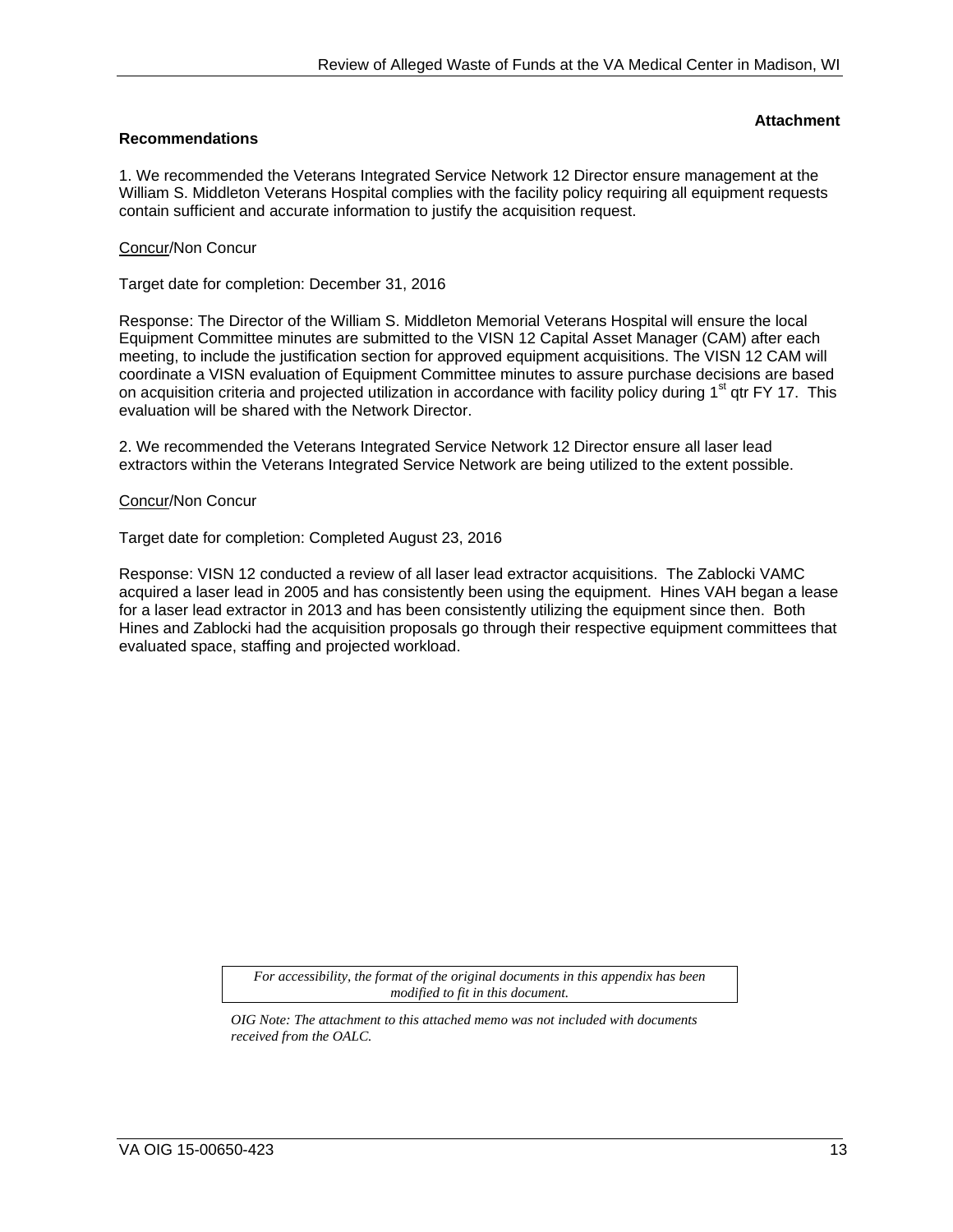**Attachment** 

#### **Recommendations**

1. We recommended the Veterans Integrated Service Network 12 Director ensure management at the William S. Middleton Veterans Hospital complies with the facility policy requiring all equipment requests contain sufficient and accurate information to justify the acquisition request.

#### Concur/Non Concur

Target date for completion: December 31, 2016

Response: The Director of the William S. Middleton Memorial Veterans Hospital will ensure the local Equipment Committee minutes are submitted to the VISN 12 Capital Asset Manager (CAM) after each meeting, to include the justification section for approved equipment acquisitions. The VISN 12 CAM will coordinate a VISN evaluation of Equipment Committee minutes to assure purchase decisions are based on acquisition criteria and projected utilization in accordance with facility policy during 1<sup>st</sup> qtr FY 17. This evaluation will be shared with the Network Director.

2. We recommended the Veterans Integrated Service Network 12 Director ensure all laser lead extractors within the Veterans Integrated Service Network are being utilized to the extent possible.

#### Concur/Non Concur

Target date for completion: Completed August 23, 2016

Response: VISN 12 conducted a review of all laser lead extractor acquisitions. The Zablocki VAMC acquired a laser lead in 2005 and has consistently been using the equipment. Hines VAH began a lease for a laser lead extractor in 2013 and has been consistently utilizing the equipment since then. Both Hines and Zablocki had the acquisition proposals go through their respective equipment committees that evaluated space, staffing and projected workload.

> *For accessibility, the format of the original documents in this appendix has been modified to fit in this document.*

*OIG Note: The attachment to this attached memo was not included with documents received from the OALC.*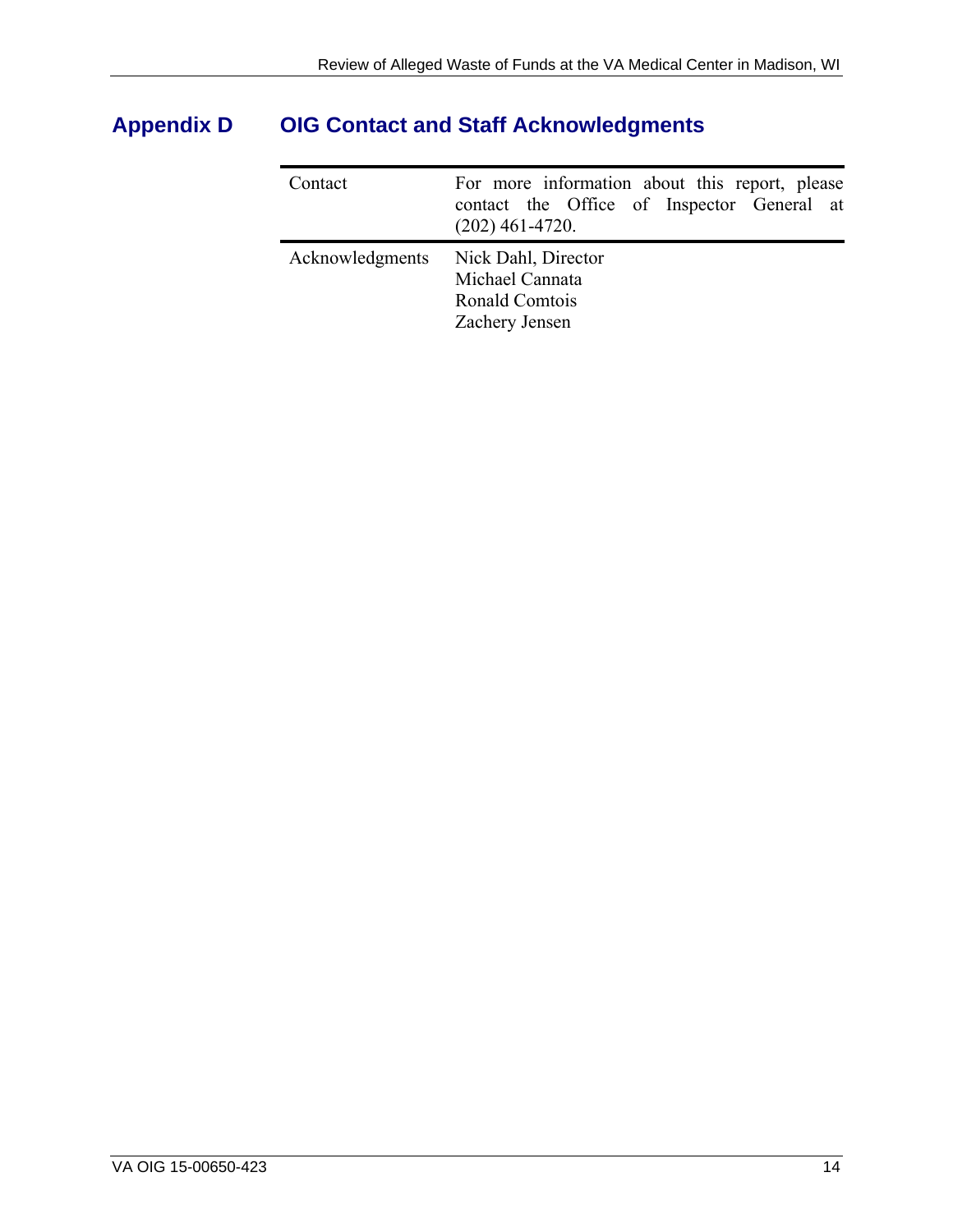# <span id="page-17-0"></span>**Appendix D OIG Contact and Staff Acknowledgments**

| Contact         | For more information about this report, please<br>contact the Office of Inspector General at<br>$(202)$ 461-4720. |
|-----------------|-------------------------------------------------------------------------------------------------------------------|
| Acknowledgments | Nick Dahl, Director<br>Michael Cannata<br>Ronald Comtois<br>Zachery Jensen                                        |